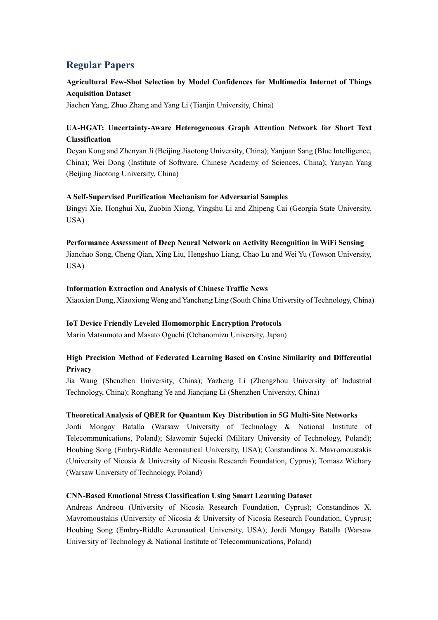# **Regular Papers**

# **Agricultural Few-Shot Selection by Model Confidences for Multimedia Internet of Things Acquisition Dataset**

Jiachen Yang, Zhuo Zhang and Yang Li (Tianjin University, China)

# **UA-HGAT: Uncertainty-Aware Heterogeneous Graph Attention Network for Short Text Classification**

Deyan Kong and Zhenyan Ji (Beijing Jiaotong University, China); Yanjuan Sang (Blue Intelligence, China); Wei Dong (Institute of Software, Chinese Academy of Sciences, China); Yanyan Yang (Beijing Jiaotong University, China)

#### **A Self-Supervised Purification Mechanism for Adversarial Samples**

Bingyi Xie, Honghui Xu, Zuobin Xiong, Yingshu Li and Zhipeng Cai (Georgia State University, USA)

#### **Performance Assessment of Deep Neural Network on Activity Recognition in WiFi Sensing**

Jianchao Song, Cheng Qian, Xing Liu, Hengshuo Liang, Chao Lu and Wei Yu (Towson University, USA)

#### **Information Extraction and Analysis of Chinese Traffic News**

Xiaoxian Dong, Xiaoxiong Weng and Yancheng Ling (South China University of Technology, China)

### **IoT Device Friendly Leveled Homomorphic Encryption Protocols**

Marin Matsumoto and Masato Oguchi (Ochanomizu University, Japan)

## **High Precision Method of Federated Learning Based on Cosine Similarity and Differential Privacy**

Jia Wang (Shenzhen University, China); Yazheng Li (Zhengzhou University of Industrial Technology, China); Ronghang Ye and Jianqiang Li (Shenzhen University, China)

#### **Theoretical Analysis of QBER for Quantum Key Distribution in 5G Multi-Site Networks**

Jordi Mongay Batalla (Warsaw University of Technology & National Institute of Telecommunications, Poland); Sławomir Sujecki (Military University of Technology, Poland); Houbing Song (Embry-Riddle Aeronautical University, USA); Constandinos X. Mavromoustakis (University of Nicosia & University of Nicosia Research Foundation, Cyprus); Tomasz Wichary (Warsaw University of Technology, Poland)

#### **CΝΝ-Based Emotional Stress Classification Using Smart Learning Dataset**

Andreas Andreou (University of Nicosia Research Foundation, Cyprus); Constandinos X. Mavromoustakis (University of Nicosia & University of Nicosia Research Foundation, Cyprus); Houbing Song (Embry-Riddle Aeronautical University, USA); Jordi Mongay Batalla (Warsaw University of Technology & National Institute of Telecommunications, Poland)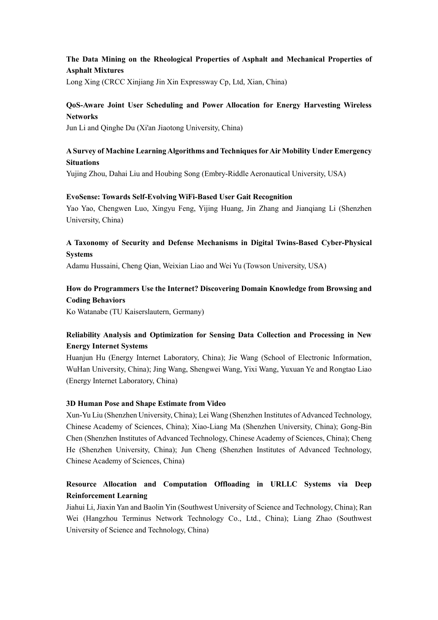## **The Data Mining on the Rheological Properties of Asphalt and Mechanical Properties of Asphalt Mixtures**

Long Xing (CRCC Xinjiang Jin Xin Expressway Cp, Ltd, Xian, China)

### **QoS-Aware Joint User Scheduling and Power Allocation for Energy Harvesting Wireless Networks**

Jun Li and Qinghe Du (Xi'an Jiaotong University, China)

## **A Survey of Machine Learning Algorithms and Techniques for Air Mobility Under Emergency Situations**

Yujing Zhou, Dahai Liu and Houbing Song (Embry-Riddle Aeronautical University, USA)

#### **EvoSense: Towards Self-Evolving WiFi-Based User Gait Recognition**

Yao Yao, Chengwen Luo, Xingyu Feng, Yijing Huang, Jin Zhang and Jianqiang Li (Shenzhen University, China)

### **A Taxonomy of Security and Defense Mechanisms in Digital Twins-Based Cyber-Physical Systems**

Adamu Hussaini, Cheng Qian, Weixian Liao and Wei Yu (Towson University, USA)

# **How do Programmers Use the Internet? Discovering Domain Knowledge from Browsing and Coding Behaviors**

Ko Watanabe (TU Kaiserslautern, Germany)

## **Reliability Analysis and Optimization for Sensing Data Collection and Processing in New Energy Internet Systems**

Huanjun Hu (Energy Internet Laboratory, China); Jie Wang (School of Electronic Information, WuHan University, China); Jing Wang, Shengwei Wang, Yixi Wang, Yuxuan Ye and Rongtao Liao (Energy Internet Laboratory, China)

#### **3D Human Pose and Shape Estimate from Video**

Xun-Yu Liu (Shenzhen University, China); Lei Wang (Shenzhen Institutes of Advanced Technology, Chinese Academy of Sciences, China); Xiao-Liang Ma (Shenzhen University, China); Gong-Bin Chen (Shenzhen Institutes of Advanced Technology, Chinese Academy of Sciences, China); Cheng He (Shenzhen University, China); Jun Cheng (Shenzhen Institutes of Advanced Technology, Chinese Academy of Sciences, China)

## **Resource Allocation and Computation Offloading in URLLC Systems via Deep Reinforcement Learning**

Jiahui Li, Jiaxin Yan and Baolin Yin (Southwest University of Science and Technology, China); Ran Wei (Hangzhou Terminus Network Technology Co., Ltd., China); Liang Zhao (Southwest University of Science and Technology, China)